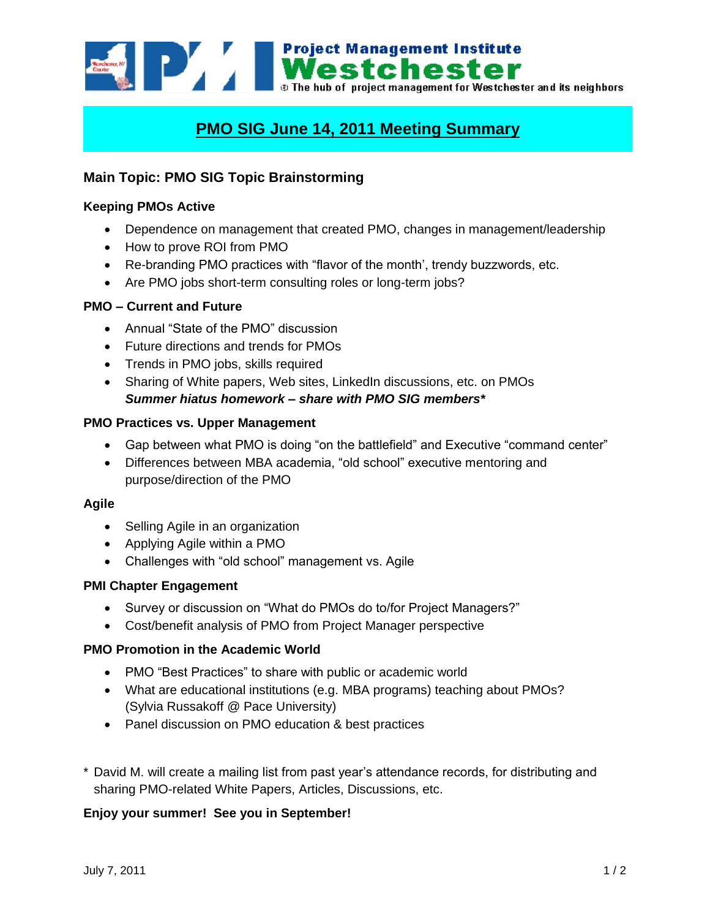

# **PMO SIG June 14, 2011 Meeting Summary**

# **Main Topic: PMO SIG Topic Brainstorming**

## **Keeping PMOs Active**

- Dependence on management that created PMO, changes in management/leadership
- How to prove ROI from PMO
- Re-branding PMO practices with "flavor of the month', trendy buzzwords, etc.
- Are PMO jobs short-term consulting roles or long-term jobs?

## **PMO – Current and Future**

- Annual "State of the PMO" discussion
- Future directions and trends for PMOs
- Trends in PMO jobs, skills required
- Sharing of White papers, Web sites, LinkedIn discussions, etc. on PMOs *Summer hiatus homework – share with PMO SIG members\**

## **PMO Practices vs. Upper Management**

- Gap between what PMO is doing "on the battlefield" and Executive "command center"
- Differences between MBA academia, "old school" executive mentoring and purpose/direction of the PMO

#### **Agile**

- Selling Agile in an organization
- Applying Agile within a PMO
- Challenges with "old school" management vs. Agile

#### **PMI Chapter Engagement**

- Survey or discussion on "What do PMOs do to/for Project Managers?"
- Cost/benefit analysis of PMO from Project Manager perspective

# **PMO Promotion in the Academic World**

- PMO "Best Practices" to share with public or academic world
- What are educational institutions (e.g. MBA programs) teaching about PMOs? (Sylvia Russakoff @ Pace University)
- Panel discussion on PMO education & best practices
- \* David M. will create a mailing list from past year's attendance records, for distributing and sharing PMO-related White Papers, Articles, Discussions, etc.

# **Enjoy your summer! See you in September!**